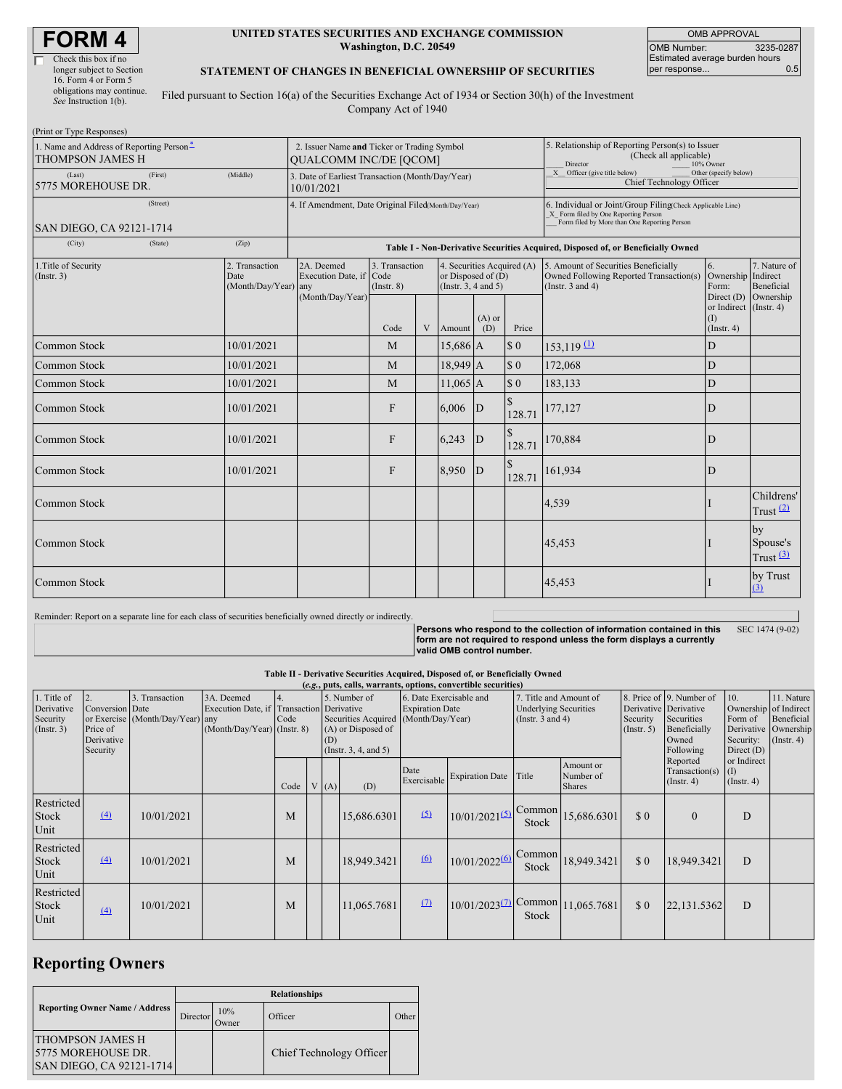| Check this box if no      |
|---------------------------|
| longer subject to Section |
| 16. Form 4 or Form 5      |
| obligations may continue. |
| See Instruction 1(b).     |

#### **UNITED STATES SECURITIES AND EXCHANGE COMMISSION Washington, D.C. 20549**

OMB APPROVAL OMB Number: 3235-0287 Estimated average burden hours<br>per response... 0.5 per response...

### **STATEMENT OF CHANGES IN BENEFICIAL OWNERSHIP OF SECURITIES**

Filed pursuant to Section 16(a) of the Securities Exchange Act of 1934 or Section 30(h) of the Investment Company Act of 1940

| (Print or Type Responses)                                                       |                                                                              |                                                                |                                                           |                               |   |                                                                              |                                                                                                     |                                                                                                |                                                                                                                                                    |                                                   |                                         |
|---------------------------------------------------------------------------------|------------------------------------------------------------------------------|----------------------------------------------------------------|-----------------------------------------------------------|-------------------------------|---|------------------------------------------------------------------------------|-----------------------------------------------------------------------------------------------------|------------------------------------------------------------------------------------------------|----------------------------------------------------------------------------------------------------------------------------------------------------|---------------------------------------------------|-----------------------------------------|
| 1. Name and Address of Reporting Person <sup>*</sup><br><b>THOMPSON JAMES H</b> | 2. Issuer Name and Ticker or Trading Symbol<br><b>OUALCOMM INC/DE [OCOM]</b> |                                                                |                                                           |                               |   |                                                                              | 5. Relationship of Reporting Person(s) to Issuer<br>(Check all applicable)<br>Director<br>10% Owner |                                                                                                |                                                                                                                                                    |                                                   |                                         |
| (Last)<br>5775 MOREHOUSE DR.                                                    | (Middle)                                                                     | 3. Date of Earliest Transaction (Month/Day/Year)<br>10/01/2021 |                                                           |                               |   |                                                                              |                                                                                                     | $\overline{X}$ Officer (give title below)<br>Other (specify below)<br>Chief Technology Officer |                                                                                                                                                    |                                                   |                                         |
| (Street)<br>SAN DIEGO, CA 92121-1714                                            |                                                                              |                                                                | 4. If Amendment, Date Original Filed(Month/Day/Year)      |                               |   |                                                                              |                                                                                                     |                                                                                                | 6. Individual or Joint/Group Filing(Check Applicable Line)<br>X Form filed by One Reporting Person<br>Form filed by More than One Reporting Person |                                                   |                                         |
| (Zip)<br>(City)<br>(State)                                                      |                                                                              |                                                                |                                                           |                               |   |                                                                              |                                                                                                     | Table I - Non-Derivative Securities Acquired, Disposed of, or Beneficially Owned               |                                                                                                                                                    |                                                   |                                         |
| 1. Title of Security<br>(Insert. 3)                                             |                                                                              | 2. Transaction<br>Date<br>(Month/Day/Year) any                 | 2A. Deemed<br>Execution Date, if Code<br>(Month/Day/Year) | 3. Transaction<br>(Insert. 8) |   | 4. Securities Acquired (A)<br>or Disposed of (D)<br>(Instr. $3, 4$ and $5$ ) |                                                                                                     |                                                                                                | 5. Amount of Securities Beneficially<br>Owned Following Reported Transaction(s)<br>(Instr. $3$ and $4$ )                                           | 6.<br>Ownership Indirect<br>Form:<br>Direct $(D)$ | 7. Nature of<br>Beneficial<br>Ownership |
|                                                                                 |                                                                              |                                                                |                                                           | Code                          | V | Amount                                                                       | $(A)$ or<br>(D)                                                                                     | Price                                                                                          |                                                                                                                                                    | or Indirect (Instr. 4)<br>(I)<br>(Insert. 4)      |                                         |
| <b>Common Stock</b>                                                             |                                                                              | 10/01/2021                                                     |                                                           | M                             |   | $15,686$ A                                                                   |                                                                                                     | $\sqrt{3}0$                                                                                    | $153,119$ $\underline{(1)}$                                                                                                                        | D                                                 |                                         |
| Common Stock                                                                    |                                                                              | 10/01/2021                                                     |                                                           | M                             |   | 18,949 A                                                                     |                                                                                                     | $\sqrt{3}0$                                                                                    | 172,068                                                                                                                                            | D                                                 |                                         |
| <b>Common Stock</b>                                                             |                                                                              | 10/01/2021                                                     |                                                           | M                             |   | $11,065$ A                                                                   |                                                                                                     | \$0                                                                                            | 183,133                                                                                                                                            | D                                                 |                                         |
| Common Stock                                                                    |                                                                              | 10/01/2021                                                     |                                                           | F                             |   | 6,006                                                                        | D                                                                                                   | $\mathbb{S}$<br>128.71                                                                         | 177,127                                                                                                                                            | D                                                 |                                         |
| Common Stock                                                                    |                                                                              | 10/01/2021                                                     |                                                           | F                             |   | 6,243                                                                        | $\mathbf D$                                                                                         | \$<br>128.71                                                                                   | 170,884                                                                                                                                            | D                                                 |                                         |
| Common Stock<br>10/01/2021                                                      |                                                                              |                                                                |                                                           | F                             |   | 8,950                                                                        | D                                                                                                   | 128.71                                                                                         | 161,934                                                                                                                                            | D                                                 |                                         |
| <b>Common Stock</b>                                                             |                                                                              |                                                                |                                                           |                               |   |                                                                              |                                                                                                     |                                                                                                | 4,539                                                                                                                                              |                                                   | Childrens'<br>Trust $(2)$               |
| Common Stock                                                                    |                                                                              |                                                                |                                                           |                               |   |                                                                              |                                                                                                     |                                                                                                | 45,453                                                                                                                                             |                                                   | by<br>Spouse's<br>Trust $(3)$           |
| Common Stock                                                                    |                                                                              |                                                                |                                                           |                               |   |                                                                              |                                                                                                     |                                                                                                | 45,453                                                                                                                                             |                                                   | by Trust<br>(3)                         |

Reminder: Report on a separate line for each class of securities beneficially owned directly or indirectly.

Persons who respond to the collection of information contained in this<br>form are not required to respond unless the form displays a currently<br>valid OMB control number. SEC 1474 (9-02)

### **Table II - Derivative Securities Acquired, Disposed of, or Beneficially Owned**

| (e.g., puts, calls, warrants, options, convertible securities) |                                                             |                                                    |                                                                                        |      |  |      |                                                                  |                                                                                           |                                       |                                                                                 |                                         |                                                       |                                                                              |                                                                                    |                                                           |
|----------------------------------------------------------------|-------------------------------------------------------------|----------------------------------------------------|----------------------------------------------------------------------------------------|------|--|------|------------------------------------------------------------------|-------------------------------------------------------------------------------------------|---------------------------------------|---------------------------------------------------------------------------------|-----------------------------------------|-------------------------------------------------------|------------------------------------------------------------------------------|------------------------------------------------------------------------------------|-----------------------------------------------------------|
| 1. Title of<br>Derivative<br>Security<br>$($ Instr. 3 $)$      | 2.<br>Conversion Date<br>Price of<br>Derivative<br>Security | 3. Transaction<br>or Exercise (Month/Day/Year) any | 3A. Deemed<br>Execution Date, if Transaction Derivative<br>(Month/Day/Year) (Instr. 8) | Code |  | (D)  | 5. Number of<br>(A) or Disposed of<br>(Instr. $3, 4$ , and $5$ ) | 6. Date Exercisable and<br><b>Expiration Date</b><br>Securities Acquired (Month/Day/Year) |                                       | 7. Title and Amount of<br><b>Underlying Securities</b><br>(Instr. $3$ and $4$ ) |                                         | Derivative Derivative<br>Security<br>$($ Instr. 5 $)$ | 8. Price of 9. Number of<br>Securities<br>Beneficially<br>Owned<br>Following | 10.<br>Ownership of Indirect<br>Form of<br>Derivative<br>Security:<br>Direct $(D)$ | 11. Nature<br>Beneficial<br>Ownership<br>$($ Instr. 4 $)$ |
|                                                                |                                                             |                                                    |                                                                                        | Code |  | V(A) | (D)                                                              | Date<br>Exercisable                                                                       | <b>Expiration Date</b>                | Title                                                                           | Amount or<br>Number of<br><b>Shares</b> |                                                       | Reported<br>Transaction(s)<br>$($ Instr. 4 $)$                               | or Indirect<br>(1)<br>$($ Instr. 4 $)$                                             |                                                           |
| Restricted<br><b>Stock</b><br>Unit                             | $\left(4\right)$                                            | 10/01/2021                                         |                                                                                        | M    |  |      | 15.686.6301                                                      | (5)                                                                                       | $10/01/2021^{(5)}$                    | Common<br>Stock                                                                 | 15,686.6301                             | \$0                                                   | $\mathbf{0}$                                                                 | D                                                                                  |                                                           |
| Restricted<br><b>Stock</b><br>Unit                             | (4)                                                         | 10/01/2021                                         |                                                                                        | M    |  |      | 18.949.3421                                                      | 6                                                                                         | 10/01/20226                           | Common<br>Stock                                                                 | 18,949.3421                             | \$0                                                   | 18.949.3421                                                                  | D                                                                                  |                                                           |
| Restricted<br><b>Stock</b><br>Unit                             | $\left(4\right)$                                            | 10/01/2021                                         |                                                                                        | M    |  |      | 11,065.7681                                                      | $\Omega$                                                                                  | $10/01/2023^{(7)}$ Common 11,065.7681 | Stock                                                                           |                                         | \$0                                                   | 22,131.5362                                                                  | D                                                                                  |                                                           |

## **Reporting Owners**

|                                                                           | <b>Relationships</b> |              |                          |       |  |  |  |  |  |
|---------------------------------------------------------------------------|----------------------|--------------|--------------------------|-------|--|--|--|--|--|
| <b>Reporting Owner Name / Address</b>                                     | Director'            | 10%<br>Owner | Officer                  | Other |  |  |  |  |  |
| <b>THOMPSON JAMES H</b><br>5775 MOREHOUSE DR.<br>SAN DIEGO, CA 92121-1714 |                      |              | Chief Technology Officer |       |  |  |  |  |  |